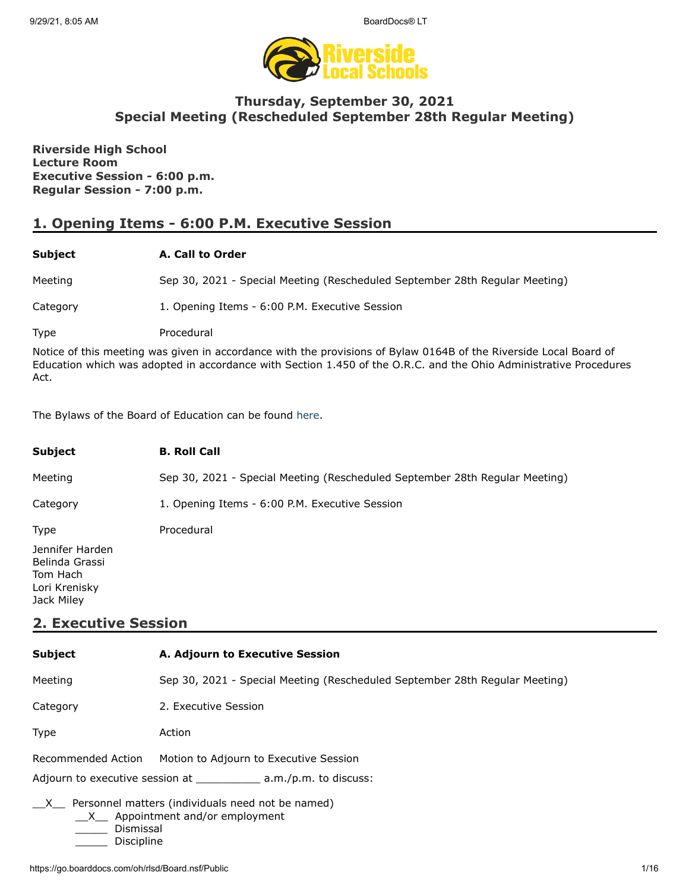

# **Thursday, September 30, 2021 Special Meeting (Rescheduled September 28th Regular Meeting)**

**Riverside High School Lecture Room Executive Session - 6:00 p.m. Regular Session - 7:00 p.m.**

# **1. Opening Items - 6:00 P.M. Executive Session**

### **Subject A. Call to Order**

Meeting Sep 30, 2021 - Special Meeting (Rescheduled September 28th Regular Meeting)

Category 1. Opening Items - 6:00 P.M. Executive Session

Type Procedural

Notice of this meeting was given in accordance with the provisions of Bylaw 0164B of the Riverside Local Board of Education which was adopted in accordance with Section 1.450 of the O.R.C. and the Ohio Administrative Procedures Act.

The Bylaws of the Board of Education can be found [here.](http://www.neola.com/riverside(lake)-oh/)

| <b>Subject</b>                                                               | <b>B. Roll Call</b>                                                         |
|------------------------------------------------------------------------------|-----------------------------------------------------------------------------|
| Meeting                                                                      | Sep 30, 2021 - Special Meeting (Rescheduled September 28th Regular Meeting) |
| Category                                                                     | 1. Opening Items - 6:00 P.M. Executive Session                              |
| <b>Type</b>                                                                  | Procedural                                                                  |
| Jennifer Harden<br>Belinda Grassi<br>Tom Hach<br>Lori Krenisky<br>Jack Miley |                                                                             |

# **2. Executive Session**

| <b>Subject</b>                                                                                                                    | A. Adjourn to Executive Session                                             |  |
|-----------------------------------------------------------------------------------------------------------------------------------|-----------------------------------------------------------------------------|--|
| Meeting                                                                                                                           | Sep 30, 2021 - Special Meeting (Rescheduled September 28th Regular Meeting) |  |
| Category                                                                                                                          | 2. Executive Session                                                        |  |
| Type                                                                                                                              | Action                                                                      |  |
| Recommended Action                                                                                                                | Motion to Adjourn to Executive Session                                      |  |
| Adjourn to executive session at $\_\_\_\_\_a.m./p.m.$ to discuss:                                                                 |                                                                             |  |
| Personnel matters (individuals need not be named)<br>$\mathsf{X}$<br>$X$ Appointment and/or employment<br>Dismissal<br>Discipline |                                                                             |  |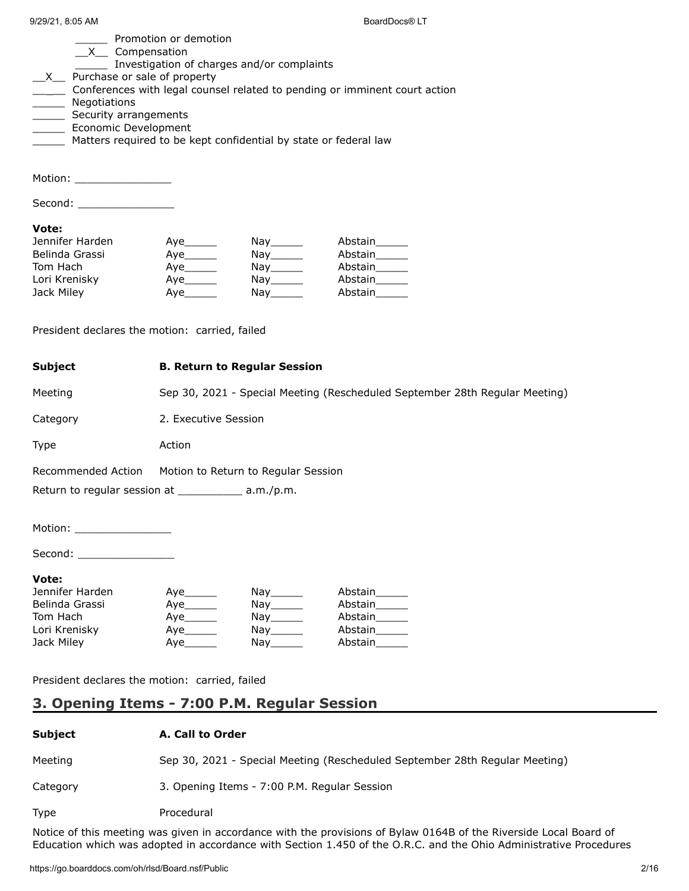| $9/29/21, 8:05$ AM                                                                                                                                                                                                                                                                                                                                    |                           |                                                                           | BoardDocs <sup>®</sup> LT                                                   |
|-------------------------------------------------------------------------------------------------------------------------------------------------------------------------------------------------------------------------------------------------------------------------------------------------------------------------------------------------------|---------------------------|---------------------------------------------------------------------------|-----------------------------------------------------------------------------|
| Promotion or demotion<br>_X__ Compensation<br>Investigation of charges and/or complaints<br>$X$ Purchase or sale of property<br>_____ Conferences with legal counsel related to pending or imminent court action<br>Negotiations<br>Security arrangements<br>Economic Development<br>Matters required to be kept confidential by state or federal law |                           |                                                                           |                                                                             |
| Motion: __________________                                                                                                                                                                                                                                                                                                                            |                           |                                                                           |                                                                             |
| Second: _____________________                                                                                                                                                                                                                                                                                                                         |                           |                                                                           |                                                                             |
| Vote:<br>Jennifer Harden<br>Belinda Grassi<br>Tom Hach<br>Lori Krenisky<br>Jack Miley                                                                                                                                                                                                                                                                 | Aye________<br>Aye_______ | $\mathsf{Nay}_{\_\!\!\_\_\!\!\_$<br>Nay______<br>Nay_______<br>Nay_______ | Abstain______<br>Abstain<br>Abstain______<br>Abstain______<br>Abstain       |
| President declares the motion: carried, failed                                                                                                                                                                                                                                                                                                        |                           |                                                                           |                                                                             |
| <b>Subject</b>                                                                                                                                                                                                                                                                                                                                        |                           | <b>B. Return to Regular Session</b>                                       |                                                                             |
| Meeting                                                                                                                                                                                                                                                                                                                                               |                           |                                                                           | Sep 30, 2021 - Special Meeting (Rescheduled September 28th Regular Meeting) |
| Category                                                                                                                                                                                                                                                                                                                                              | 2. Executive Session      |                                                                           |                                                                             |
| Type                                                                                                                                                                                                                                                                                                                                                  | Action                    |                                                                           |                                                                             |
| Recommended Action                                                                                                                                                                                                                                                                                                                                    |                           | Motion to Return to Regular Session                                       |                                                                             |
| Return to regular session at ______________ a.m./p.m.                                                                                                                                                                                                                                                                                                 |                           |                                                                           |                                                                             |
| Motion: _____________________                                                                                                                                                                                                                                                                                                                         |                           |                                                                           |                                                                             |
| Second: ____________________                                                                                                                                                                                                                                                                                                                          |                           |                                                                           |                                                                             |
| Vote:<br>Jennifer Harden<br>Belinda Grassi<br>Tom Hach<br>Lori Krenisky<br>Jack Miley                                                                                                                                                                                                                                                                 | Aye_______                | $\bigcap_{x \in \mathbb{R}}$<br>Nay_______<br>Nay_______<br>Nay_______    | Abstain______<br>Abstain______<br>Abstain<br>Abstain<br>Abstain______       |

President declares the motion: carried, failed

# **3. Opening Items - 7:00 P.M. Regular Session**

### **Subject A. Call to Order**

| Meeting     | Sep 30, 2021 - Special Meeting (Rescheduled September 28th Regular Meeting) |
|-------------|-----------------------------------------------------------------------------|
| Category    | 3. Opening Items - 7:00 P.M. Regular Session                                |
| <b>Type</b> | Procedural                                                                  |

Notice of this meeting was given in accordance with the provisions of Bylaw 0164B of the Riverside Local Board of Education which was adopted in accordance with Section 1.450 of the O.R.C. and the Ohio Administrative Procedures

https://go.boarddocs.com/oh/rlsd/Board.nsf/Public 2/16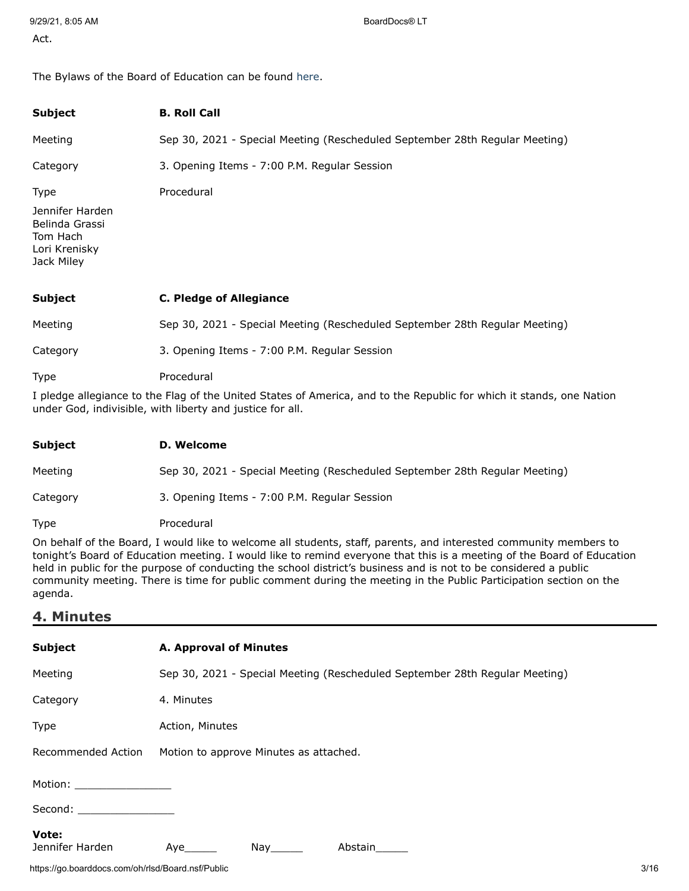The Bylaws of the Board of Education can be found [here.](http://www.neola.com/riverside(lake)-oh/)

| <b>Subject</b>                                                               | <b>B. Roll Call</b>                                                         |
|------------------------------------------------------------------------------|-----------------------------------------------------------------------------|
| Meeting                                                                      | Sep 30, 2021 - Special Meeting (Rescheduled September 28th Regular Meeting) |
| Category                                                                     | 3. Opening Items - 7:00 P.M. Regular Session                                |
| <b>Type</b>                                                                  | Procedural                                                                  |
| Jennifer Harden<br>Belinda Grassi<br>Tom Hach<br>Lori Krenisky<br>Jack Miley |                                                                             |
| <b>Subject</b>                                                               | <b>C. Pledge of Allegiance</b>                                              |
| Meeting                                                                      | Sep 30, 2021 - Special Meeting (Rescheduled September 28th Regular Meeting) |
| Category                                                                     | 3. Opening Items - 7:00 P.M. Regular Session                                |
| Type                                                                         | Procedural                                                                  |

I pledge allegiance to the Flag of the United States of America, and to the Republic for which it stands, one Nation under God, indivisible, with liberty and justice for all.

| Subject  | D. Welcome                                                                  |
|----------|-----------------------------------------------------------------------------|
| Meeting  | Sep 30, 2021 - Special Meeting (Rescheduled September 28th Regular Meeting) |
| Category | 3. Opening Items - 7:00 P.M. Regular Session                                |
| Type     | Procedural                                                                  |

On behalf of the Board, I would like to welcome all students, staff, parents, and interested community members to tonight's Board of Education meeting. I would like to remind everyone that this is a meeting of the Board of Education held in public for the purpose of conducting the school district's business and is not to be considered a public community meeting. There is time for public comment during the meeting in the Public Participation section on the agenda.

### **4. Minutes**

| <b>Subject</b>                                                                                                                                                                                                                 | A. Approval of Minutes                                                      |
|--------------------------------------------------------------------------------------------------------------------------------------------------------------------------------------------------------------------------------|-----------------------------------------------------------------------------|
| Meeting                                                                                                                                                                                                                        | Sep 30, 2021 - Special Meeting (Rescheduled September 28th Regular Meeting) |
| Category                                                                                                                                                                                                                       | 4. Minutes                                                                  |
| Type                                                                                                                                                                                                                           | Action, Minutes                                                             |
| Recommended Action                                                                                                                                                                                                             | Motion to approve Minutes as attached.                                      |
| Motion: will be a series of the series of the series of the series of the series of the series of the series o                                                                                                                 |                                                                             |
| Second: the contract of the contract of the contract of the contract of the contract of the contract of the contract of the contract of the contract of the contract of the contract of the contract of the contract of the co |                                                                             |
| Vote:<br>Jennifer Harden                                                                                                                                                                                                       | Nay<br>Abstain<br>Aye                                                       |

https://go.boarddocs.com/oh/rlsd/Board.nsf/Public 3/16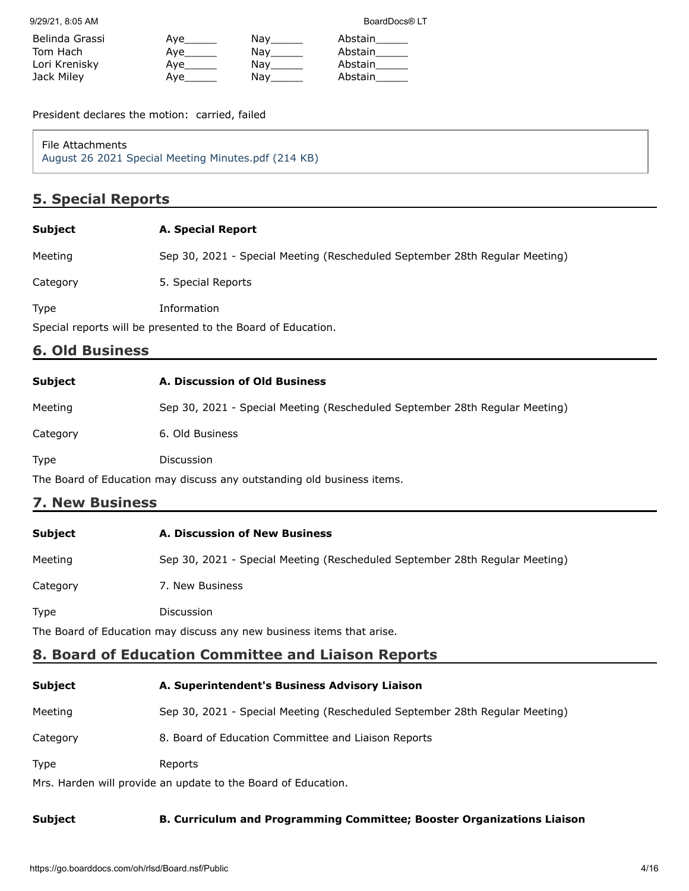9/29/21, 8:05 AM BoardDocs® LT

| Belinda Grassi | Ave | Nav | Abstain |
|----------------|-----|-----|---------|
| Tom Hach       | Ave | Nay | Abstain |
| Lori Krenisky  | Ave | Nav | Abstain |
| Jack Miley     | Ave | Nav | Abstain |

President declares the motion: carried, failed

File Attachments [August 26 2021 Special Meeting Minutes.pdf \(214 KB\)](https://go.boarddocs.com/oh/rlsd/Board.nsf/files/C72HSM47E9A2/$file/August%2026%202021%20Special%20Meeting%20Minutes.pdf)

# **5. Special Reports**

### **Subject A. Special Report**

Meeting Sep 30, 2021 - Special Meeting (Rescheduled September 28th Regular Meeting)

Category 5. Special Reports

Type Information

Special reports will be presented to the Board of Education.

## **6. Old Business**

| Subject  | A. Discussion of Old Business                                               |
|----------|-----------------------------------------------------------------------------|
| Meeting  | Sep 30, 2021 - Special Meeting (Rescheduled September 28th Regular Meeting) |
| Category | 6. Old Business                                                             |
| Type     | <b>Discussion</b>                                                           |

The Board of Education may discuss any outstanding old business items.

# **7. New Business**

| <b>Subject</b> | A. Discussion of New Business                                               |  |
|----------------|-----------------------------------------------------------------------------|--|
| Meeting        | Sep 30, 2021 - Special Meeting (Rescheduled September 28th Regular Meeting) |  |
| Category       | 7. New Business                                                             |  |
| <b>Type</b>    | <b>Discussion</b>                                                           |  |
|                |                                                                             |  |

The Board of Education may discuss any new business items that arise.

# **8. Board of Education Committee and Liaison Reports**

| <b>Subject</b>                                                | A. Superintendent's Business Advisory Liaison                               |  |
|---------------------------------------------------------------|-----------------------------------------------------------------------------|--|
| Meeting                                                       | Sep 30, 2021 - Special Meeting (Rescheduled September 28th Regular Meeting) |  |
| Category                                                      | 8. Board of Education Committee and Liaison Reports                         |  |
| <b>Type</b>                                                   | Reports                                                                     |  |
| Mrs. Harden will provide an update to the Board of Education. |                                                                             |  |

### **Subject B. Curriculum and Programming Committee; Booster Organizations Liaison**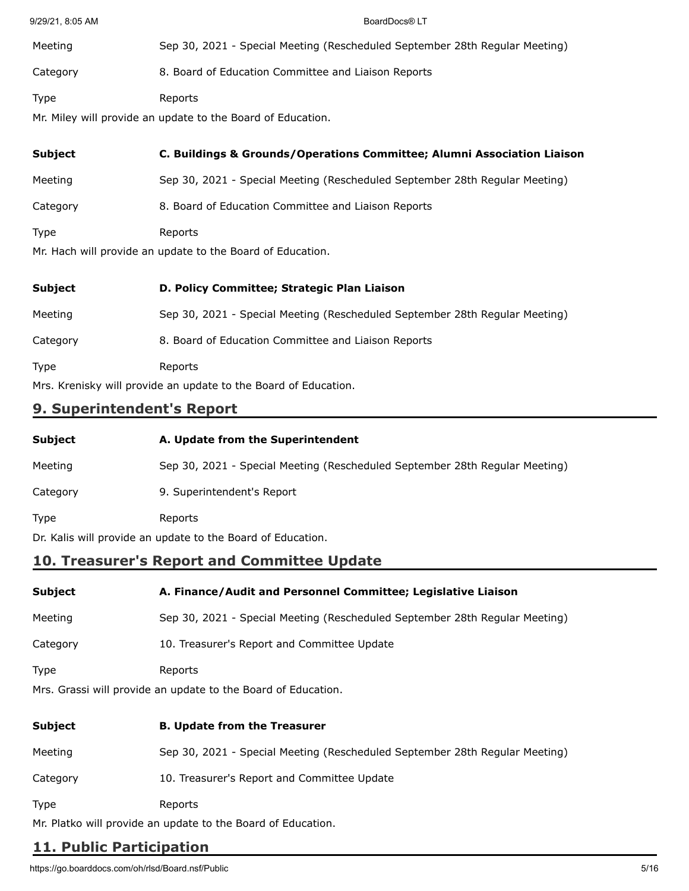| 9/29/21, 8:05 AM | BoardDocs® LT                                                               |
|------------------|-----------------------------------------------------------------------------|
| Meeting          | Sep 30, 2021 - Special Meeting (Rescheduled September 28th Regular Meeting) |
| Category         | 8. Board of Education Committee and Liaison Reports                         |
| <b>Type</b>      | Reports                                                                     |
|                  | Mr. Miley will provide an update to the Board of Education.                 |
| <b>Subject</b>   | C. Buildings & Grounds/Operations Committee; Alumni Association Liaison     |
| Meeting          | Sep 30, 2021 - Special Meeting (Rescheduled September 28th Regular Meeting) |
| Category         | 8. Board of Education Committee and Liaison Reports                         |
| <b>Type</b>      | Reports                                                                     |
|                  | Mr. Hach will provide an update to the Board of Education.                  |

| <b>Subject</b>                                                  | D. Policy Committee; Strategic Plan Liaison                                 |
|-----------------------------------------------------------------|-----------------------------------------------------------------------------|
| Meeting                                                         | Sep 30, 2021 - Special Meeting (Rescheduled September 28th Regular Meeting) |
| Category                                                        | 8. Board of Education Committee and Liaison Reports                         |
| <b>Type</b>                                                     | Reports                                                                     |
| Mrs. Krenisky will provide an update to the Board of Education. |                                                                             |

# **9. Superintendent's Report**

| <b>Subject</b>                                              | A. Update from the Superintendent                                           |
|-------------------------------------------------------------|-----------------------------------------------------------------------------|
| Meeting                                                     | Sep 30, 2021 - Special Meeting (Rescheduled September 28th Regular Meeting) |
| Category                                                    | 9. Superintendent's Report                                                  |
| <b>Type</b>                                                 | Reports                                                                     |
| Dr. Kalis will provide an update to the Board of Education. |                                                                             |

# **10. Treasurer's Report and Committee Update**

| Subject  | A. Finance/Audit and Personnel Committee; Legislative Liaison               |
|----------|-----------------------------------------------------------------------------|
| Meeting  | Sep 30, 2021 - Special Meeting (Rescheduled September 28th Regular Meeting) |
| Category | 10. Treasurer's Report and Committee Update                                 |
| Type     | Reports<br>Mrs. Grassi will provide an update to the Board of Education.    |
| Subject  | <b>B. Update from the Treasurer</b>                                         |

| Meeting     | Sep 30, 2021 - Special Meeting (Rescheduled September 28th Regular Meeting) |
|-------------|-----------------------------------------------------------------------------|
| Category    | 10. Treasurer's Report and Committee Update                                 |
| <b>Type</b> | Reports                                                                     |

Mr. Platko will provide an update to the Board of Education.

# **11. Public Participation**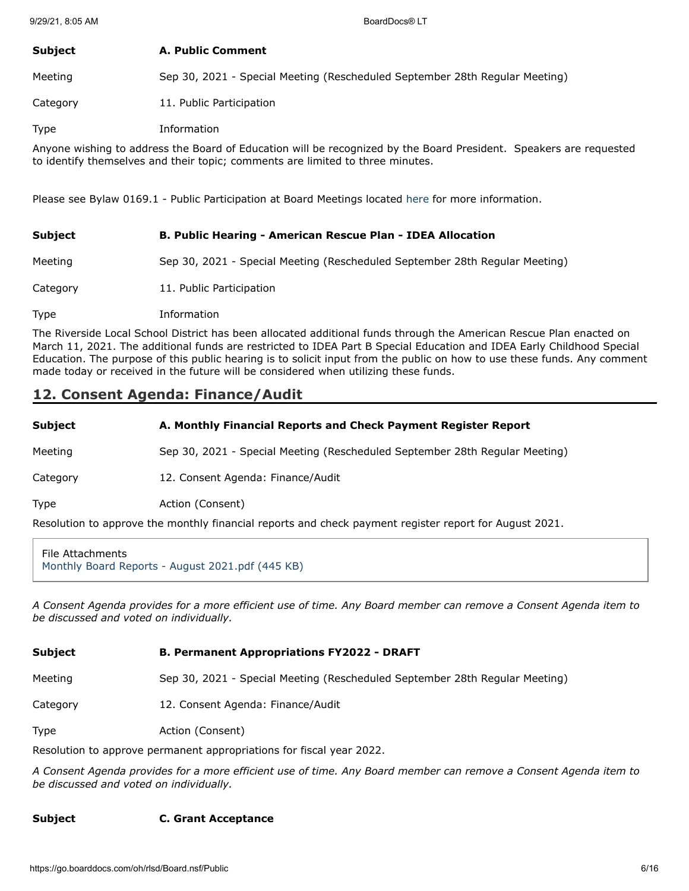### **Subject A. Public Comment**

Meeting Sep 30, 2021 - Special Meeting (Rescheduled September 28th Regular Meeting)

Category 11. Public Participation

Type Information

Anyone wishing to address the Board of Education will be recognized by the Board President. Speakers are requested to identify themselves and their topic; comments are limited to three minutes.

Please see Bylaw 0169.1 - Public Participation at Board Meetings located [here](http://www.neola.com/riverside(lake)-oh/) for more information.

| <b>Subject</b> | B. Public Hearing - American Rescue Plan - IDEA Allocation                  |
|----------------|-----------------------------------------------------------------------------|
| Meeting        | Sep 30, 2021 - Special Meeting (Rescheduled September 28th Regular Meeting) |
| Category       | 11. Public Participation                                                    |
| <b>Type</b>    | Information                                                                 |

The Riverside Local School District has been allocated additional funds through the American Rescue Plan enacted on March 11, 2021. The additional funds are restricted to IDEA Part B Special Education and IDEA Early Childhood Special Education. The purpose of this public hearing is to solicit input from the public on how to use these funds. Any comment made today or received in the future will be considered when utilizing these funds.

# **12. Consent Agenda: Finance/Audit**

**Subject A. Monthly Financial Reports and Check Payment Register Report** Meeting Sep 30, 2021 - Special Meeting (Rescheduled September 28th Regular Meeting) Category 12. Consent Agenda: Finance/Audit

Type **Action** (Consent)

Resolution to approve the monthly financial reports and check payment register report for August 2021.

File Attachments [Monthly Board Reports - August 2021.pdf \(445 KB\)](https://go.boarddocs.com/oh/rlsd/Board.nsf/files/C6MLL64EB8B4/$file/Monthly%20Board%20Reports%20-%20August%202021.pdf)

*A Consent Agenda provides for a more efficient use of time. Any Board member can remove a Consent Agenda item to be discussed and voted on individually.*

#### **Subject B. Permanent Appropriations FY2022 - DRAFT**

Meeting Sep 30, 2021 - Special Meeting (Rescheduled September 28th Regular Meeting)

Category 12. Consent Agenda: Finance/Audit

Type **Action** (Consent)

Resolution to approve permanent appropriations for fiscal year 2022.

*A Consent Agenda provides for a more efficient use of time. Any Board member can remove a Consent Agenda item to be discussed and voted on individually.*

### **Subject C. Grant Acceptance**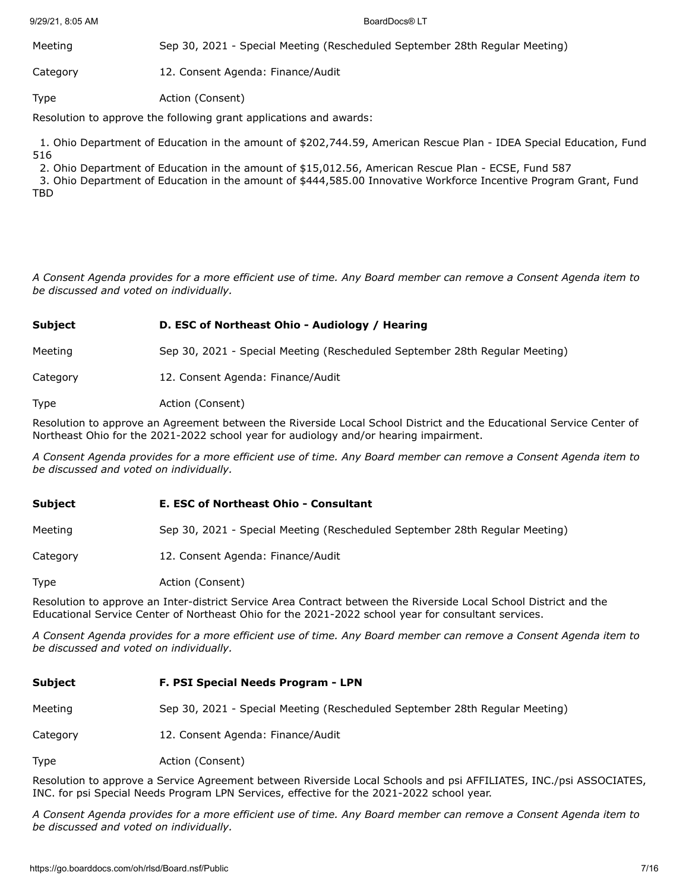9/29/21, 8:05 AM BoardDocs® LT

Meeting Sep 30, 2021 - Special Meeting (Rescheduled September 28th Regular Meeting) Category 12. Consent Agenda: Finance/Audit

Type **Action** (Consent)

Resolution to approve the following grant applications and awards:

 1. Ohio Department of Education in the amount of \$202,744.59, American Rescue Plan - IDEA Special Education, Fund 516

2. Ohio Department of Education in the amount of \$15,012.56, American Rescue Plan - ECSE, Fund 587

 3. Ohio Department of Education in the amount of \$444,585.00 Innovative Workforce Incentive Program Grant, Fund TBD

*A Consent Agenda provides for a more efficient use of time. Any Board member can remove a Consent Agenda item to be discussed and voted on individually.*

### **Subject D. ESC of Northeast Ohio - Audiology / Hearing**

Meeting Sep 30, 2021 - Special Meeting (Rescheduled September 28th Regular Meeting)

Category 12. Consent Agenda: Finance/Audit

Type **Action** (Consent)

Resolution to approve an Agreement between the Riverside Local School District and the Educational Service Center of Northeast Ohio for the 2021-2022 school year for audiology and/or hearing impairment.

*A Consent Agenda provides for a more efficient use of time. Any Board member can remove a Consent Agenda item to be discussed and voted on individually.*

#### **Subject E. ESC of Northeast Ohio - Consultant**

Meeting Sep 30, 2021 - Special Meeting (Rescheduled September 28th Regular Meeting)

Category 12. Consent Agenda: Finance/Audit

Type **Action** (Consent)

Resolution to approve an Inter-district Service Area Contract between the Riverside Local School District and the Educational Service Center of Northeast Ohio for the 2021-2022 school year for consultant services.

*A Consent Agenda provides for a more efficient use of time. Any Board member can remove a Consent Agenda item to be discussed and voted on individually.*

| <b>Subject</b> | F. PSI Special Needs Program - LPN                                          |
|----------------|-----------------------------------------------------------------------------|
| Meeting        | Sep 30, 2021 - Special Meeting (Rescheduled September 28th Regular Meeting) |
| Category       | 12. Consent Agenda: Finance/Audit                                           |
| <b>Type</b>    | Action (Consent)                                                            |

Resolution to approve a Service Agreement between Riverside Local Schools and psi AFFILIATES, INC./psi ASSOCIATES, INC. for psi Special Needs Program LPN Services, effective for the 2021-2022 school year.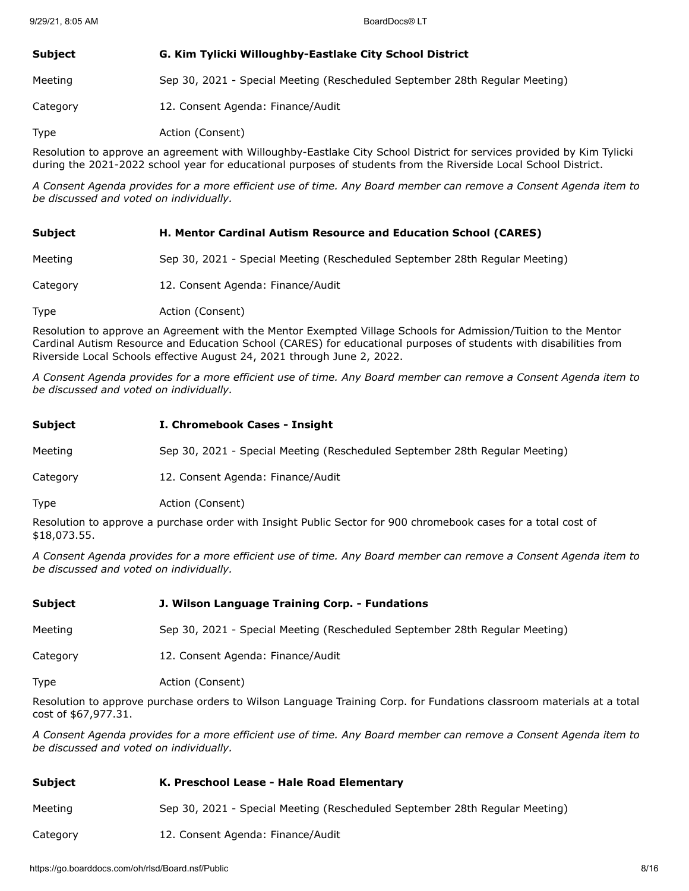### **Subject G. Kim Tylicki Willoughby-Eastlake City School District**

Meeting Sep 30, 2021 - Special Meeting (Rescheduled September 28th Regular Meeting)

Category 12. Consent Agenda: Finance/Audit

Type **Action** (Consent)

Resolution to approve an agreement with Willoughby-Eastlake City School District for services provided by Kim Tylicki during the 2021-2022 school year for educational purposes of students from the Riverside Local School District.

*A Consent Agenda provides for a more efficient use of time. Any Board member can remove a Consent Agenda item to be discussed and voted on individually.*

| <b>Subject</b> | H. Mentor Cardinal Autism Resource and Education School (CARES)             |
|----------------|-----------------------------------------------------------------------------|
| Meeting        | Sep 30, 2021 - Special Meeting (Rescheduled September 28th Regular Meeting) |
| Category       | 12. Consent Agenda: Finance/Audit                                           |
| Type           | Action (Consent)                                                            |

Resolution to approve an Agreement with the Mentor Exempted Village Schools for Admission/Tuition to the Mentor Cardinal Autism Resource and Education School (CARES) for educational purposes of students with disabilities from Riverside Local Schools effective August 24, 2021 through June 2, 2022.

*A Consent Agenda provides for a more efficient use of time. Any Board member can remove a Consent Agenda item to be discussed and voted on individually.*

| Subject  | I. Chromebook Cases - Insight                                               |
|----------|-----------------------------------------------------------------------------|
| Meeting  | Sep 30, 2021 - Special Meeting (Rescheduled September 28th Regular Meeting) |
| Category | 12. Consent Agenda: Finance/Audit                                           |
| Type     | Action (Consent)                                                            |
|          |                                                                             |

Resolution to approve a purchase order with Insight Public Sector for 900 chromebook cases for a total cost of \$18,073.55.

*A Consent Agenda provides for a more efficient use of time. Any Board member can remove a Consent Agenda item to be discussed and voted on individually.*

| <b>Subject</b> | J. Wilson Language Training Corp. - Fundations                              |
|----------------|-----------------------------------------------------------------------------|
| Meeting        | Sep 30, 2021 - Special Meeting (Rescheduled September 28th Regular Meeting) |
| Category       | 12. Consent Agenda: Finance/Audit                                           |
| Type           | Action (Consent)                                                            |

Resolution to approve purchase orders to Wilson Language Training Corp. for Fundations classroom materials at a total cost of \$67,977.31.

| Subject  | K. Preschool Lease - Hale Road Elementary                                   |
|----------|-----------------------------------------------------------------------------|
| Meeting  | Sep 30, 2021 - Special Meeting (Rescheduled September 28th Regular Meeting) |
| Category | 12. Consent Agenda: Finance/Audit                                           |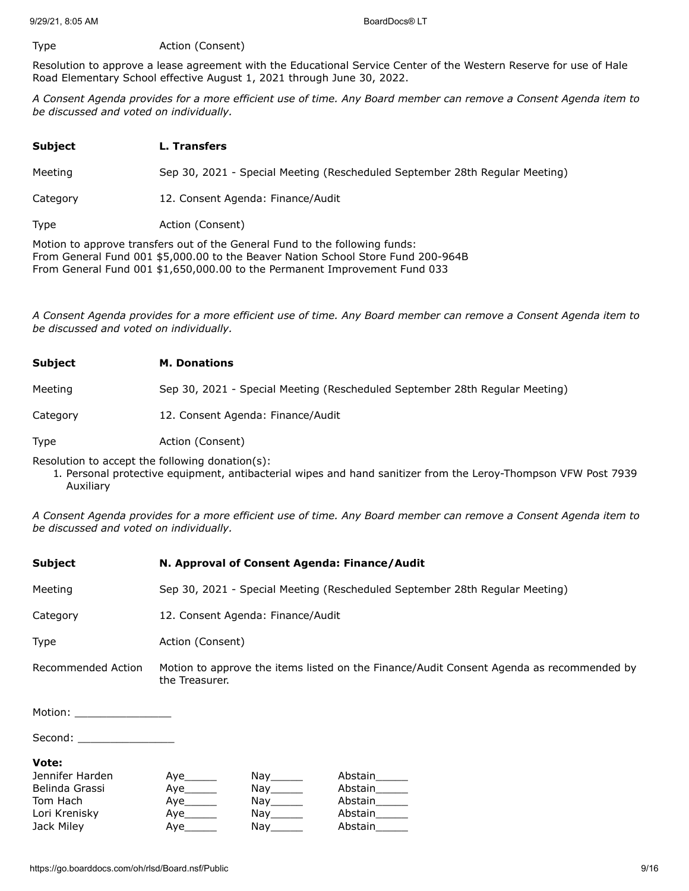#### Type **Action** (Consent)

Resolution to approve a lease agreement with the Educational Service Center of the Western Reserve for use of Hale Road Elementary School effective August 1, 2021 through June 30, 2022.

*A Consent Agenda provides for a more efficient use of time. Any Board member can remove a Consent Agenda item to be discussed and voted on individually.*

| <b>Subject</b>                                                              | L. Transfers                                                                |
|-----------------------------------------------------------------------------|-----------------------------------------------------------------------------|
| Meeting                                                                     | Sep 30, 2021 - Special Meeting (Rescheduled September 28th Regular Meeting) |
| Category                                                                    | 12. Consent Agenda: Finance/Audit                                           |
| <b>Type</b>                                                                 | Action (Consent)                                                            |
| Motion to approve transfers out of the Ceneral Fund to the following funds: |                                                                             |

Motion to approve transfers out of the General Fund to the following funds: From General Fund 001 \$5,000.00 to the Beaver Nation School Store Fund 200-964B From General Fund 001 \$1,650,000.00 to the Permanent Improvement Fund 033

*A Consent Agenda provides for a more efficient use of time. Any Board member can remove a Consent Agenda item to be discussed and voted on individually.*

| <b>Subject</b> | <b>M. Donations</b>                                                         |
|----------------|-----------------------------------------------------------------------------|
| Meeting        | Sep 30, 2021 - Special Meeting (Rescheduled September 28th Regular Meeting) |
| Category       | 12. Consent Agenda: Finance/Audit                                           |
| <b>Type</b>    | Action (Consent)                                                            |

Resolution to accept the following donation(s):

1. Personal protective equipment, antibacterial wipes and hand sanitizer from the Leroy-Thompson VFW Post 7939 Auxiliary

| <b>Subject</b>             | N. Approval of Consent Agenda: Finance/Audit                                                               |                                    |               |  |
|----------------------------|------------------------------------------------------------------------------------------------------------|------------------------------------|---------------|--|
| Meeting                    | Sep 30, 2021 - Special Meeting (Rescheduled September 28th Regular Meeting)                                |                                    |               |  |
| Category                   | 12. Consent Agenda: Finance/Audit                                                                          |                                    |               |  |
| <b>Type</b>                |                                                                                                            | Action (Consent)                   |               |  |
| Recommended Action         | Motion to approve the items listed on the Finance/Audit Consent Agenda as recommended by<br>the Treasurer. |                                    |               |  |
| Motion: __________________ |                                                                                                            |                                    |               |  |
| Second: __________________ |                                                                                                            |                                    |               |  |
| Vote:                      |                                                                                                            |                                    |               |  |
| Jennifer Harden            |                                                                                                            | Nay_______                         | Abstain______ |  |
| Belinda Grassi             |                                                                                                            | $\mathsf{Nay}$ <sub>________</sub> | Abstain______ |  |
| Tom Hach                   | Aye_______                                                                                                 | Nay______                          | Abstain______ |  |
| Lori Krenisky              |                                                                                                            | Nay_______                         | Abstain______ |  |
| Jack Miley                 |                                                                                                            | Nay_______                         | Abstain       |  |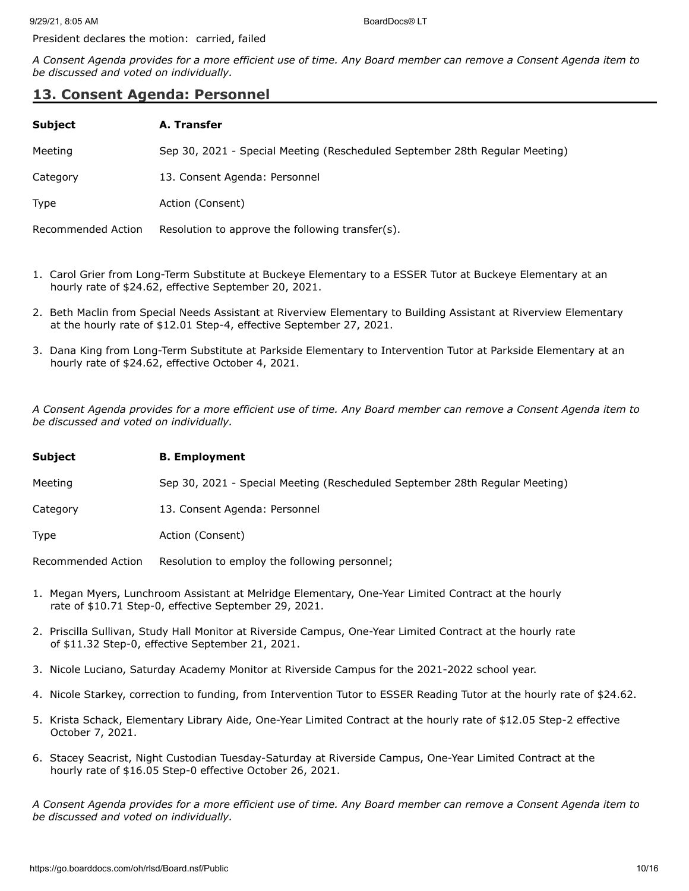President declares the motion: carried, failed

*A Consent Agenda provides for a more efficient use of time. Any Board member can remove a Consent Agenda item to be discussed and voted on individually.*

## **13. Consent Agenda: Personnel**

| <b>Subject</b>     | A. Transfer                                                                 |
|--------------------|-----------------------------------------------------------------------------|
| Meeting            | Sep 30, 2021 - Special Meeting (Rescheduled September 28th Regular Meeting) |
| Category           | 13. Consent Agenda: Personnel                                               |
| <b>Type</b>        | Action (Consent)                                                            |
| Recommended Action | Resolution to approve the following transfer(s).                            |

- 1. Carol Grier from Long-Term Substitute at Buckeye Elementary to a ESSER Tutor at Buckeye Elementary at an hourly rate of \$24.62, effective September 20, 2021.
- 2. Beth Maclin from Special Needs Assistant at Riverview Elementary to Building Assistant at Riverview Elementary at the hourly rate of \$12.01 Step-4, effective September 27, 2021.
- 3. Dana King from Long-Term Substitute at Parkside Elementary to Intervention Tutor at Parkside Elementary at an hourly rate of \$24.62, effective October 4, 2021.

*A Consent Agenda provides for a more efficient use of time. Any Board member can remove a Consent Agenda item to be discussed and voted on individually.*

#### **Subject B. Employment**

Meeting Sep 30, 2021 - Special Meeting (Rescheduled September 28th Regular Meeting)

Category 13. Consent Agenda: Personnel

Type **Action** (Consent)

Recommended Action Resolution to employ the following personnel;

- 1. Megan Myers, Lunchroom Assistant at Melridge Elementary, One-Year Limited Contract at the hourly rate of \$10.71 Step-0, effective September 29, 2021.
- 2. Priscilla Sullivan, Study Hall Monitor at Riverside Campus, One-Year Limited Contract at the hourly rate of \$11.32 Step-0, effective September 21, 2021.
- 3. Nicole Luciano, Saturday Academy Monitor at Riverside Campus for the 2021-2022 school year.
- 4. Nicole Starkey, correction to funding, from Intervention Tutor to ESSER Reading Tutor at the hourly rate of \$24.62.
- 5. Krista Schack, Elementary Library Aide, One-Year Limited Contract at the hourly rate of \$12.05 Step-2 effective October 7, 2021.
- 6. Stacey Seacrist, Night Custodian Tuesday-Saturday at Riverside Campus, One-Year Limited Contract at the hourly rate of \$16.05 Step-0 effective October 26, 2021.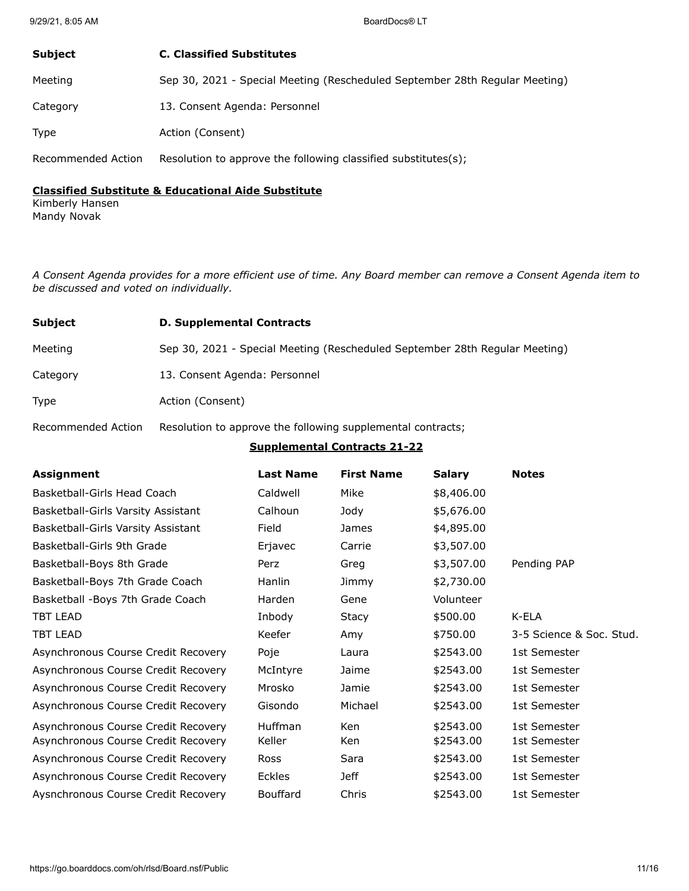| <b>Subject</b>     | <b>C. Classified Substitutes</b>                                            |
|--------------------|-----------------------------------------------------------------------------|
| Meeting            | Sep 30, 2021 - Special Meeting (Rescheduled September 28th Regular Meeting) |
| Category           | 13. Consent Agenda: Personnel                                               |
| <b>Type</b>        | Action (Consent)                                                            |
| Recommended Action | Resolution to approve the following classified substitutes(s);              |

### **Classified Substitute & Educational Aide Substitute**

Kimberly Hansen Mandy Novak

*A Consent Agenda provides for a more efficient use of time. Any Board member can remove a Consent Agenda item to be discussed and voted on individually.*

| <b>Subject</b> | <b>D. Supplemental Contracts</b>                                            |
|----------------|-----------------------------------------------------------------------------|
| Meeting        | Sep 30, 2021 - Special Meeting (Rescheduled September 28th Regular Meeting) |
| Category       | 13. Consent Agenda: Personnel                                               |
| <b>Type</b>    | Action (Consent)                                                            |

Recommended Action Resolution to approve the following supplemental contracts;

### **Supplemental Contracts 21-22**

| Assignment                          | <b>Last Name</b> | <b>First Name</b> | <b>Salary</b> | <b>Notes</b>             |
|-------------------------------------|------------------|-------------------|---------------|--------------------------|
| Basketball-Girls Head Coach         | Caldwell         | Mike              | \$8,406.00    |                          |
| Basketball-Girls Varsity Assistant  | Calhoun          | Jody              | \$5,676.00    |                          |
| Basketball-Girls Varsity Assistant  | Field            | <b>James</b>      | \$4,895.00    |                          |
| Basketball-Girls 9th Grade          | Erjavec          | Carrie            | \$3,507.00    |                          |
| Basketball-Boys 8th Grade           | Perz             | Greg              | \$3,507.00    | Pending PAP              |
| Basketball-Boys 7th Grade Coach     | Hanlin           | Jimmy             | \$2,730.00    |                          |
| Basketball - Boys 7th Grade Coach   | Harden           | Gene              | Volunteer     |                          |
| <b>TBT LEAD</b>                     | Inbody           | Stacy             | \$500.00      | K-ELA                    |
| <b>TBT LEAD</b>                     | Keefer           | Amy               | \$750.00      | 3-5 Science & Soc. Stud. |
| Asynchronous Course Credit Recovery | Poje             | Laura             | \$2543.00     | 1st Semester             |
| Asynchronous Course Credit Recovery | McIntyre         | Jaime             | \$2543.00     | 1st Semester             |
| Asynchronous Course Credit Recovery | Mrosko           | Jamie             | \$2543.00     | 1st Semester             |
| Asynchronous Course Credit Recovery | Gisondo          | Michael           | \$2543.00     | 1st Semester             |
| Asynchronous Course Credit Recovery | Huffman          | Ken               | \$2543.00     | 1st Semester             |
| Asynchronous Course Credit Recovery | Keller           | Ken               | \$2543.00     | 1st Semester             |
| Asynchronous Course Credit Recovery | Ross             | Sara              | \$2543.00     | 1st Semester             |
| Asynchronous Course Credit Recovery | Eckles           | Jeff              | \$2543.00     | 1st Semester             |
| Aysnchronous Course Credit Recovery | Bouffard         | Chris             | \$2543.00     | 1st Semester             |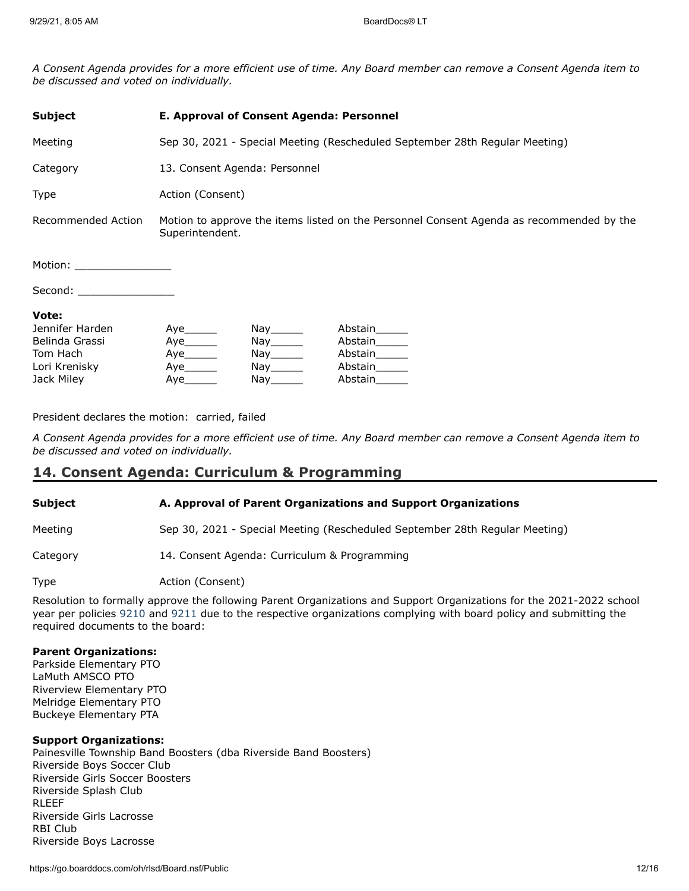*A Consent Agenda provides for a more efficient use of time. Any Board member can remove a Consent Agenda item to be discussed and voted on individually.*

| <b>Subject</b>                                                                                                 | E. Approval of Consent Agenda: Personnel                                                                    |                                                                                                                                                                                                    |                                                           |
|----------------------------------------------------------------------------------------------------------------|-------------------------------------------------------------------------------------------------------------|----------------------------------------------------------------------------------------------------------------------------------------------------------------------------------------------------|-----------------------------------------------------------|
| Meeting                                                                                                        | Sep 30, 2021 - Special Meeting (Rescheduled September 28th Regular Meeting)                                 |                                                                                                                                                                                                    |                                                           |
| Category                                                                                                       | 13. Consent Agenda: Personnel                                                                               |                                                                                                                                                                                                    |                                                           |
| <b>Type</b>                                                                                                    | Action (Consent)                                                                                            |                                                                                                                                                                                                    |                                                           |
| Recommended Action                                                                                             | Motion to approve the items listed on the Personnel Consent Agenda as recommended by the<br>Superintendent. |                                                                                                                                                                                                    |                                                           |
| Motion: will be a series of the series of the series of the series of the series of the series of the series o |                                                                                                             |                                                                                                                                                                                                    |                                                           |
| Second:                                                                                                        |                                                                                                             |                                                                                                                                                                                                    |                                                           |
| Vote:<br>Jennifer Harden<br>Belinda Grassi<br>Tom Hach<br>Lori Krenisky<br>Jack Miley                          | Aye<br>Aye<br>Aye<br>Aye                                                                                    | Nay_______<br>$\mathsf{Nay} \_\_\_\_\_\$<br>$\mathsf{Nay}$ <sub>________</sub><br>Nay the set of the set of the set of the set of the set of the set of the set of the set of the set of the set o | Abstain______<br>Abstain<br>Abstain<br>Abstain<br>Abstain |

President declares the motion: carried, failed

*A Consent Agenda provides for a more efficient use of time. Any Board member can remove a Consent Agenda item to be discussed and voted on individually.*

### **14. Consent Agenda: Curriculum & Programming**

#### **Subject A. Approval of Parent Organizations and Support Organizations**

Meeting Sep 30, 2021 - Special Meeting (Rescheduled September 28th Regular Meeting)

Category 14. Consent Agenda: Curriculum & Programming

Type **Action** (Consent)

Resolution to formally approve the following Parent Organizations and Support Organizations for the 2021-2022 school year per policies [9210](http://www.neola.com/riverside(lake)-oh/) and [9211](http://www.neola.com/riverside(lake)-oh/) due to the respective organizations complying with board policy and submitting the required documents to the board:

#### **Parent Organizations:**

Parkside Elementary PTO LaMuth AMSCO PTO Riverview Elementary PTO Melridge Elementary PTO Buckeye Elementary PTA

#### **Support Organizations:**

Painesville Township Band Boosters (dba Riverside Band Boosters) Riverside Boys Soccer Club Riverside Girls Soccer Boosters Riverside Splash Club RLEEF Riverside Girls Lacrosse RBI Club Riverside Boys Lacrosse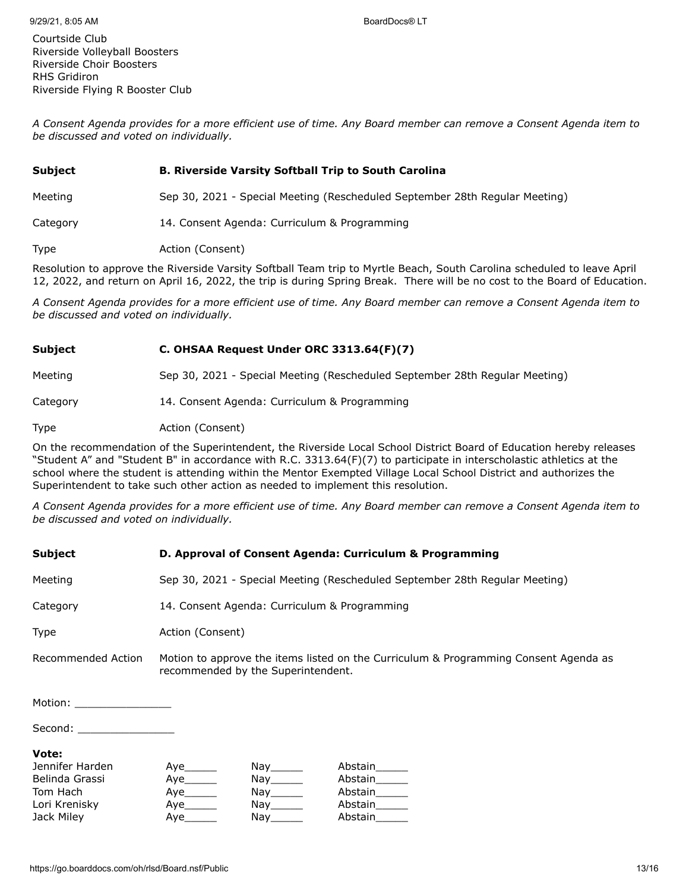Courtside Club Riverside Volleyball Boosters Riverside Choir Boosters RHS Gridiron Riverside Flying R Booster Club

*A Consent Agenda provides for a more efficient use of time. Any Board member can remove a Consent Agenda item to be discussed and voted on individually.*

# **Subject B. Riverside Varsity Softball Trip to South Carolina**

Meeting Sep 30, 2021 - Special Meeting (Rescheduled September 28th Regular Meeting)

Category 14. Consent Agenda: Curriculum & Programming

Type **Action** (Consent)

Resolution to approve the Riverside Varsity Softball Team trip to Myrtle Beach, South Carolina scheduled to leave April 12, 2022, and return on April 16, 2022, the trip is during Spring Break. There will be no cost to the Board of Education.

*A Consent Agenda provides for a more efficient use of time. Any Board member can remove a Consent Agenda item to be discussed and voted on individually.*

### **Subject C. OHSAA Request Under ORC 3313.64(F)(7)**

Meeting Sep 30, 2021 - Special Meeting (Rescheduled September 28th Regular Meeting)

Category 14. Consent Agenda: Curriculum & Programming

Type **Action** (Consent)

On the recommendation of the Superintendent, the Riverside Local School District Board of Education hereby releases "Student A" and "Student B" in accordance with R.C. 3313.64(F)(7) to participate in interscholastic athletics at the school where the student is attending within the Mentor Exempted Village Local School District and authorizes the Superintendent to take such other action as needed to implement this resolution.

*A Consent Agenda provides for a more efficient use of time. Any Board member can remove a Consent Agenda item to be discussed and voted on individually.*

| <b>Subject</b>             | D. Approval of Consent Agenda: Curriculum & Programming                                                                    |
|----------------------------|----------------------------------------------------------------------------------------------------------------------------|
| Meeting                    | Sep 30, 2021 - Special Meeting (Rescheduled September 28th Regular Meeting)                                                |
| Category                   | 14. Consent Agenda: Curriculum & Programming                                                                               |
| Type                       | Action (Consent)                                                                                                           |
| Recommended Action         | Motion to approve the items listed on the Curriculum & Programming Consent Agenda as<br>recommended by the Superintendent. |
| Motion: _______________    |                                                                                                                            |
| Second: __________________ |                                                                                                                            |

#### **Vote:**

| Jennifer Harden | Aye | Nay the second the second second that the second second second the second second second second second second s                                                                                                                 | Abstain |
|-----------------|-----|--------------------------------------------------------------------------------------------------------------------------------------------------------------------------------------------------------------------------------|---------|
| Belinda Grassi  |     | Nay_______                                                                                                                                                                                                                     | Abstain |
| Tom Hach        |     | Nay the second the second term in the second term in the second term in the second term in the second term in the second term in the second term in the second term in the second term in the second term in the second term i | Abstain |
| Lori Krenisky   | Ave | Nav l                                                                                                                                                                                                                          | Abstain |
| Jack Miley      | Ave | Nay                                                                                                                                                                                                                            | Abstain |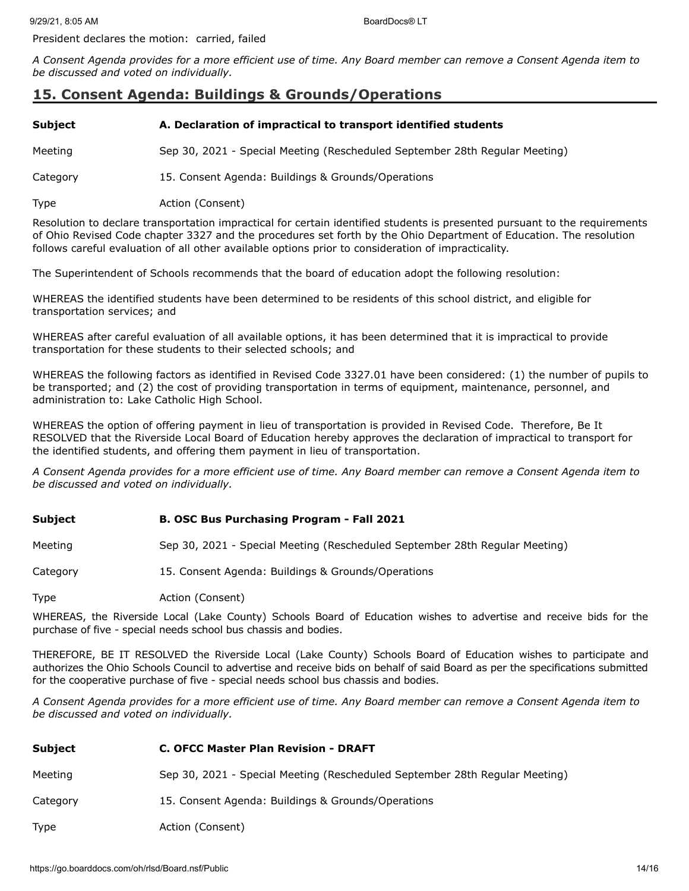President declares the motion: carried, failed

*A Consent Agenda provides for a more efficient use of time. Any Board member can remove a Consent Agenda item to be discussed and voted on individually.*

# **15. Consent Agenda: Buildings & Grounds/Operations**

### **Subject A. Declaration of impractical to transport identified students**

Meeting Sep 30, 2021 - Special Meeting (Rescheduled September 28th Regular Meeting)

Category 15. Consent Agenda: Buildings & Grounds/Operations

Type **Action** (Consent)

Resolution to declare transportation impractical for certain identified students is presented pursuant to the requirements of Ohio Revised Code chapter 3327 and the procedures set forth by the Ohio Department of Education. The resolution follows careful evaluation of all other available options prior to consideration of impracticality.

The Superintendent of Schools recommends that the board of education adopt the following resolution:

WHEREAS the identified students have been determined to be residents of this school district, and eligible for transportation services; and

WHEREAS after careful evaluation of all available options, it has been determined that it is impractical to provide transportation for these students to their selected schools; and

WHEREAS the following factors as identified in Revised Code 3327.01 have been considered: (1) the number of pupils to be transported; and (2) the cost of providing transportation in terms of equipment, maintenance, personnel, and administration to: Lake Catholic High School.

WHEREAS the option of offering payment in lieu of transportation is provided in Revised Code. Therefore, Be It RESOLVED that the Riverside Local Board of Education hereby approves the declaration of impractical to transport for the identified students, and offering them payment in lieu of transportation.

*A Consent Agenda provides for a more efficient use of time. Any Board member can remove a Consent Agenda item to be discussed and voted on individually.*

#### **Subject B. OSC Bus Purchasing Program - Fall 2021**

Meeting Sep 30, 2021 - Special Meeting (Rescheduled September 28th Regular Meeting)

Category 15. Consent Agenda: Buildings & Grounds/Operations

Type **Action** (Consent)

WHEREAS, the Riverside Local (Lake County) Schools Board of Education wishes to advertise and receive bids for the purchase of five - special needs school bus chassis and bodies.

THEREFORE, BE IT RESOLVED the Riverside Local (Lake County) Schools Board of Education wishes to participate and authorizes the Ohio Schools Council to advertise and receive bids on behalf of said Board as per the specifications submitted for the cooperative purchase of five - special needs school bus chassis and bodies.

| Subject  | <b>C. OFCC Master Plan Revision - DRAFT</b>                                 |
|----------|-----------------------------------------------------------------------------|
| Meeting  | Sep 30, 2021 - Special Meeting (Rescheduled September 28th Regular Meeting) |
| Category | 15. Consent Agenda: Buildings & Grounds/Operations                          |
| Type     | Action (Consent)                                                            |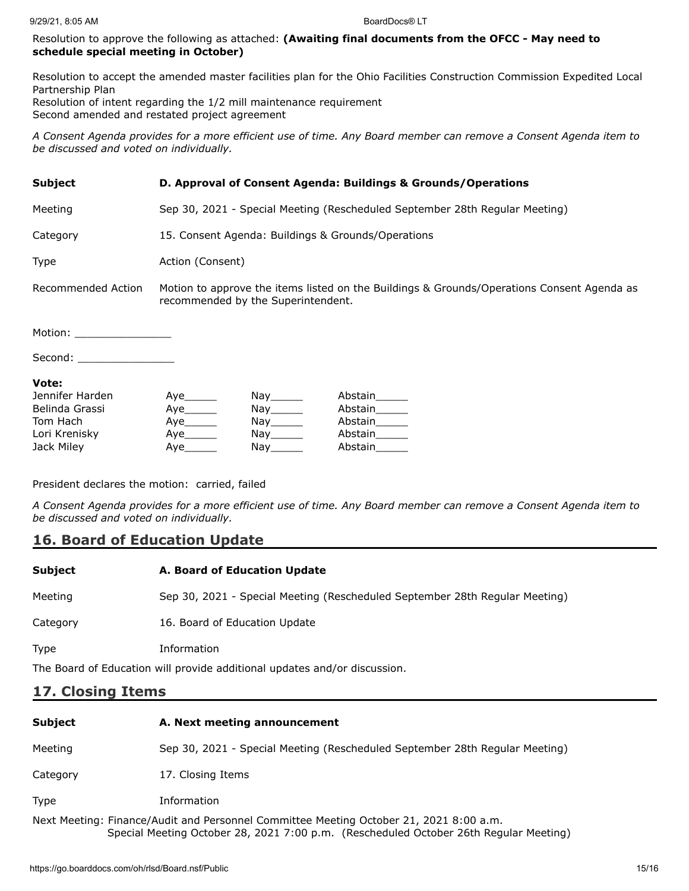#### Resolution to approve the following as attached: **(Awaiting final documents from the OFCC - May need to schedule special meeting in October)**

Resolution to accept the amended master facilities plan for the Ohio Facilities Construction Commission Expedited Local Partnership Plan Resolution of intent regarding the 1/2 mill maintenance requirement Second amended and restated project agreement

*A Consent Agenda provides for a more efficient use of time. Any Board member can remove a Consent Agenda item to be discussed and voted on individually.*

#### **Subject D. Approval of Consent Agenda: Buildings & Grounds/Operations**

Meeting Sep 30, 2021 - Special Meeting (Rescheduled September 28th Regular Meeting)

Category 15. Consent Agenda: Buildings & Grounds/Operations

Type **Action** (Consent)

Recommended Action Motion to approve the items listed on the Buildings & Grounds/Operations Consent Agenda as recommended by the Superintendent.

Motion: \_\_\_\_

Second: \_\_\_\_\_\_\_\_\_\_\_\_\_\_\_

#### **Vote:**

| Jennifer Harden | Aye | Nay the second the second second that the second second second the second second second second second second s | Abstain |
|-----------------|-----|----------------------------------------------------------------------------------------------------------------|---------|
| Belinda Grassi  | Aye | Nav                                                                                                            | Abstain |
| Tom Hach        |     | Nay the second the second second that the second second second the second second second second second second s | Abstain |
| Lori Krenisky   | Aye | Nav l                                                                                                          | Abstain |
| Jack Miley      | Ave | Nav                                                                                                            | Abstain |

President declares the motion: carried, failed

*A Consent Agenda provides for a more efficient use of time. Any Board member can remove a Consent Agenda item to be discussed and voted on individually.*

# **16. Board of Education Update**

| Subject     | A. Board of Education Update                                                |
|-------------|-----------------------------------------------------------------------------|
| Meeting     | Sep 30, 2021 - Special Meeting (Rescheduled September 28th Regular Meeting) |
| Category    | 16. Board of Education Update                                               |
| <b>Type</b> | Information                                                                 |
|             | The Board of Education will provide additional updates and/or discussion.   |

# **17. Closing Items**

| <b>Subject</b>                                                                                                                                                                  | A. Next meeting announcement                                                |  |
|---------------------------------------------------------------------------------------------------------------------------------------------------------------------------------|-----------------------------------------------------------------------------|--|
| Meeting                                                                                                                                                                         | Sep 30, 2021 - Special Meeting (Rescheduled September 28th Regular Meeting) |  |
| Category                                                                                                                                                                        | 17. Closing Items                                                           |  |
| Type                                                                                                                                                                            | Information                                                                 |  |
| Next Meeting: Finance/Audit and Personnel Committee Meeting October 21, 2021 8:00 a.m.<br>Special Meeting October 28, 2021 7:00 p.m. (Rescheduled October 26th Regular Meeting) |                                                                             |  |